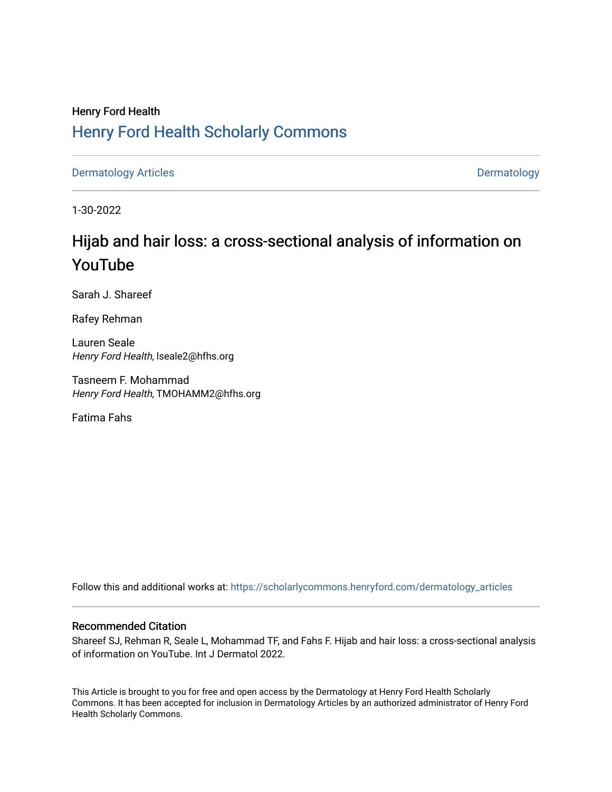# Henry Ford Health [Henry Ford Health Scholarly Commons](https://scholarlycommons.henryford.com/)

[Dermatology Articles](https://scholarlycommons.henryford.com/dermatology_articles) **Dermatology** 

1-30-2022

# Hijab and hair loss: a cross-sectional analysis of information on YouTube

Sarah J. Shareef

Rafey Rehman

Lauren Seale Henry Ford Health, lseale2@hfhs.org

Tasneem F. Mohammad Henry Ford Health, TMOHAMM2@hfhs.org

Fatima Fahs

Follow this and additional works at: [https://scholarlycommons.henryford.com/dermatology\\_articles](https://scholarlycommons.henryford.com/dermatology_articles?utm_source=scholarlycommons.henryford.com%2Fdermatology_articles%2F644&utm_medium=PDF&utm_campaign=PDFCoverPages)

### Recommended Citation

Shareef SJ, Rehman R, Seale L, Mohammad TF, and Fahs F. Hijab and hair loss: a cross-sectional analysis of information on YouTube. Int J Dermatol 2022.

This Article is brought to you for free and open access by the Dermatology at Henry Ford Health Scholarly Commons. It has been accepted for inclusion in Dermatology Articles by an authorized administrator of Henry Ford Health Scholarly Commons.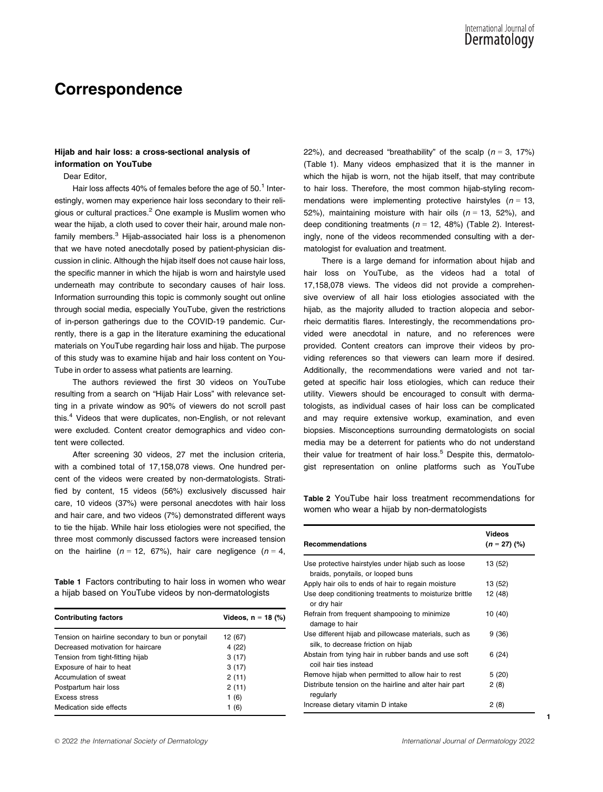## Correspondence

### Hijab and hair loss: a cross-sectional analysis of information on YouTube

Dear Editor,

Hair loss affects 40% of females before the age of 50.<sup>1</sup> Interestingly, women may experience hair loss secondary to their religious or cultural practices.<sup>2</sup> One example is Muslim women who wear the hijab, a cloth used to cover their hair, around male nonfamily members.<sup>3</sup> Hijab-associated hair loss is a phenomenon that we have noted anecdotally posed by patient-physician discussion in clinic. Although the hijab itself does not cause hair loss, the specific manner in which the hijab is worn and hairstyle used underneath may contribute to secondary causes of hair loss. Information surrounding this topic is commonly sought out online through social media, especially YouTube, given the restrictions of in-person gatherings due to the COVID-19 pandemic. Currently, there is a gap in the literature examining the educational materials on YouTube regarding hair loss and hijab. The purpose of this study was to examine hijab and hair loss content on You-Tube in order to assess what patients are learning.

The authors reviewed the first 30 videos on YouTube resulting from a search on "Hijab Hair Loss" with relevance setting in a private window as 90% of viewers do not scroll past this.4 Videos that were duplicates, non-English, or not relevant were excluded. Content creator demographics and video content were collected.

After screening 30 videos, 27 met the inclusion criteria, with a combined total of 17,158,078 views. One hundred percent of the videos were created by non-dermatologists. Stratified by content, 15 videos (56%) exclusively discussed hair care, 10 videos (37%) were personal anecdotes with hair loss and hair care, and two videos (7%) demonstrated different ways to tie the hijab. While hair loss etiologies were not specified, the three most commonly discussed factors were increased tension on the hairline ( $n = 12, 67\%)$ , hair care negligence ( $n = 4$ ,

Table 1 Factors contributing to hair loss in women who wear a hijab based on YouTube videos by non-dermatologists

| <b>Contributing factors</b>                      | Videos, n = 18 (%) |
|--------------------------------------------------|--------------------|
| Tension on hairline secondary to bun or ponytail | 12 (67)            |
| Decreased motivation for haircare                | 4 (22)             |
| Tension from tight-fitting hijab                 | 3(17)              |
| Exposure of hair to heat                         | 3(17)              |
| Accumulation of sweat                            | 2(11)              |
| Postpartum hair loss                             | 2(11)              |
| Excess stress                                    | 1(6)               |
| Medication side effects                          | 1(6)               |

22%), and decreased "breathability" of the scalp ( $n = 3, 17\%$ ) (Table 1). Many videos emphasized that it is the manner in which the hijab is worn, not the hijab itself, that may contribute to hair loss. Therefore, the most common hijab-styling recommendations were implementing protective hairstyles ( $n = 13$ , 52%), maintaining moisture with hair oils ( $n = 13, 52%$ ), and deep conditioning treatments ( $n = 12, 48\%$ ) (Table 2). Interestingly, none of the videos recommended consulting with a dermatologist for evaluation and treatment.

There is a large demand for information about hijab and hair loss on YouTube, as the videos had a total of 17,158,078 views. The videos did not provide a comprehensive overview of all hair loss etiologies associated with the hijab, as the majority alluded to traction alopecia and seborrheic dermatitis flares. Interestingly, the recommendations provided were anecdotal in nature, and no references were provided. Content creators can improve their videos by providing references so that viewers can learn more if desired. Additionally, the recommendations were varied and not targeted at specific hair loss etiologies, which can reduce their utility. Viewers should be encouraged to consult with dermatologists, as individual cases of hair loss can be complicated and may require extensive workup, examination, and even biopsies. Misconceptions surrounding dermatologists on social media may be a deterrent for patients who do not understand their value for treatment of hair  $loss<sup>5</sup>$  Despite this, dermatologist representation on online platforms such as YouTube

Table 2 YouTube hair loss treatment recommendations for women who wear a hijab by non-dermatologists

| <b>Recommendations</b>                                                                       | Videos<br>$(n = 27)$ (%) |
|----------------------------------------------------------------------------------------------|--------------------------|
| Use protective hairstyles under hijab such as loose<br>braids, ponytails, or looped buns     | 13 (52)                  |
| Apply hair oils to ends of hair to regain moisture                                           | 13 (52)                  |
| Use deep conditioning treatments to moisturize brittle<br>or dry hair                        | 12 (48)                  |
| Refrain from frequent shampooing to minimize<br>damage to hair                               | 10 (40)                  |
| Use different hijab and pillowcase materials, such as<br>silk, to decrease friction on hijab | 9(36)                    |
| Abstain from tying hair in rubber bands and use soft<br>coil hair ties instead               | 6(24)                    |
| Remove hijab when permitted to allow hair to rest                                            | 5(20)                    |
| Distribute tension on the hairline and alter hair part<br>regularly                          | 2(8)                     |
| Increase dietary vitamin D intake                                                            | 2(8)                     |

1